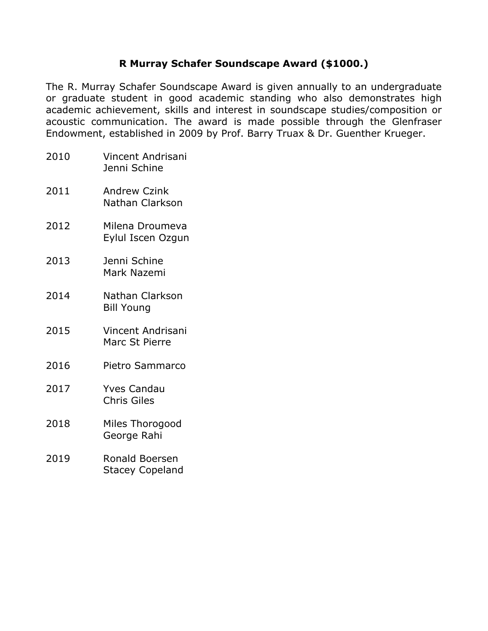## **R Murray Schafer Soundscape Award (\$1000.)**

The R. Murray Schafer Soundscape Award is given annually to an undergraduate or graduate student in good academic standing who also demonstrates high academic achievement, skills and interest in soundscape studies/composition or acoustic communication. The award is made possible through the Glenfraser Endowment, established in 2009 by Prof. Barry Truax & Dr. Guenther Krueger.

- 2010 Vincent Andrisani Jenni Schine
- 2011 Andrew Czink Nathan Clarkson
- 2012 Milena Droumeva Eylul Iscen Ozgun
- 2013 Jenni Schine Mark Nazemi
- 2014 Nathan Clarkson Bill Young
- 2015 Vincent Andrisani Marc St Pierre
- 2016 Pietro Sammarco
- 2017 Yves Candau Chris Giles
- 2018 Miles Thorogood George Rahi
- 2019 Ronald Boersen Stacey Copeland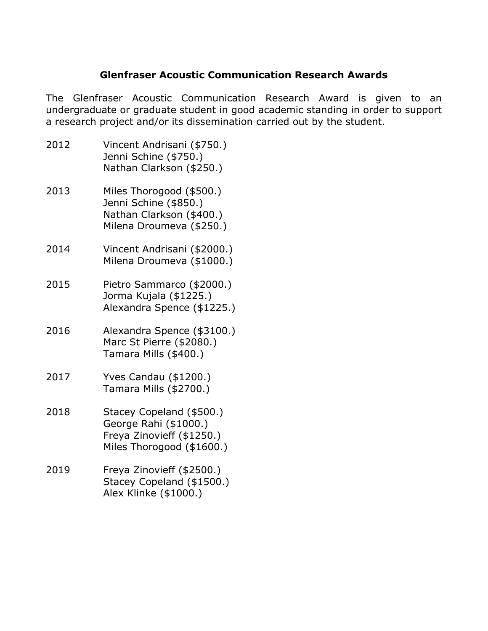## **Glenfraser Acoustic Communication Research Awards**

The Glenfraser Acoustic Communication Research Award is given to an undergraduate or graduate student in good academic standing in order to support a research project and/or its dissemination carried out by the student.

- 2012 Vincent Andrisani (\$750.) Jenni Schine (\$750.) Nathan Clarkson (\$250.)
- 2013 Miles Thorogood (\$500.) Jenni Schine (\$850.) Nathan Clarkson (\$400.) Milena Droumeva (\$250.)
- 2014 Vincent Andrisani (\$2000.) Milena Droumeva (\$1000.)
- 2015 Pietro Sammarco (\$2000.) Jorma Kujala (\$1225.) Alexandra Spence (\$1225.)
- 2016 Alexandra Spence (\$3100.) Marc St Pierre (\$2080.) Tamara Mills (\$400.)
- 2017 Yves Candau (\$1200.) Tamara Mills (\$2700.)
- 2018 Stacey Copeland (\$500.) George Rahi (\$1000.) Freya Zinovieff (\$1250.) Miles Thorogood (\$1600.)
- 2019 Freya Zinovieff (\$2500.) Stacey Copeland (\$1500.) Alex Klinke (\$1000.)